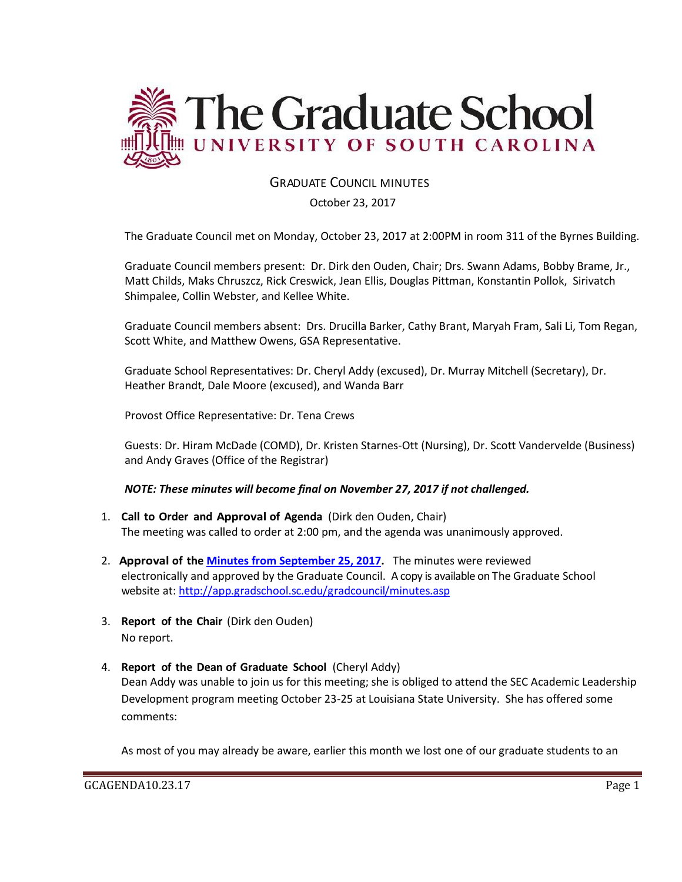

## GRADUATE COUNCIL MINUTES

October 23, 2017

The Graduate Council met on Monday, October 23, 2017 at 2:00PM in room 311 of the Byrnes Building.

Graduate Council members present: Dr. Dirk den Ouden, Chair; Drs. Swann Adams, Bobby Brame, Jr., Matt Childs, Maks Chruszcz, Rick Creswick, Jean Ellis, Douglas Pittman, Konstantin Pollok, Sirivatch Shimpalee, Collin Webster, and Kellee White.

Graduate Council members absent: Drs. Drucilla Barker, Cathy Brant, Maryah Fram, Sali Li, Tom Regan, Scott White, and Matthew Owens, GSA Representative.

Graduate School Representatives: Dr. Cheryl Addy (excused), Dr. Murray Mitchell (Secretary), Dr. Heather Brandt, Dale Moore (excused), and Wanda Barr

Provost Office Representative: Dr. Tena Crews

Guests: Dr. Hiram McDade (COMD), Dr. Kristen Starnes-Ott (Nursing), Dr. Scott Vandervelde (Business) and Andy Graves (Office of the Registrar)

#### *NOTE: These minutes will become final on November 27, 2017 if not challenged.*

- 1. **Call to Order and Approval of Agenda** (Dirk den Ouden, Chair) The meeting was called to order at 2:00 pm, and the agenda was unanimously approved.
- 2. **Approval of the [Minutes from September](file:///C:/Users/wandab/Local%20Documents/Graduate%20Council/GCMINUTESSEPT262017MM.pdf) 25, 2017.** The minutes were reviewed electronically and approved by the Graduate Council. A copy is available on The Graduate School website at[: http://app.gradschool.sc.edu/gradcouncil/minutes.asp](http://app.gradschool.sc.edu/gradcouncil/minutes.asp)
- 3. **Report of the Chair** (Dirk den Ouden) No report.
- 4. **Report of the Dean of Graduate School** (Cheryl Addy) Dean Addy was unable to join us for this meeting; she is obliged to attend the SEC Academic Leadership Development program meeting October 23-25 at Louisiana State University. She has offered some comments:

As most of you may already be aware, earlier this month we lost one of our graduate students to an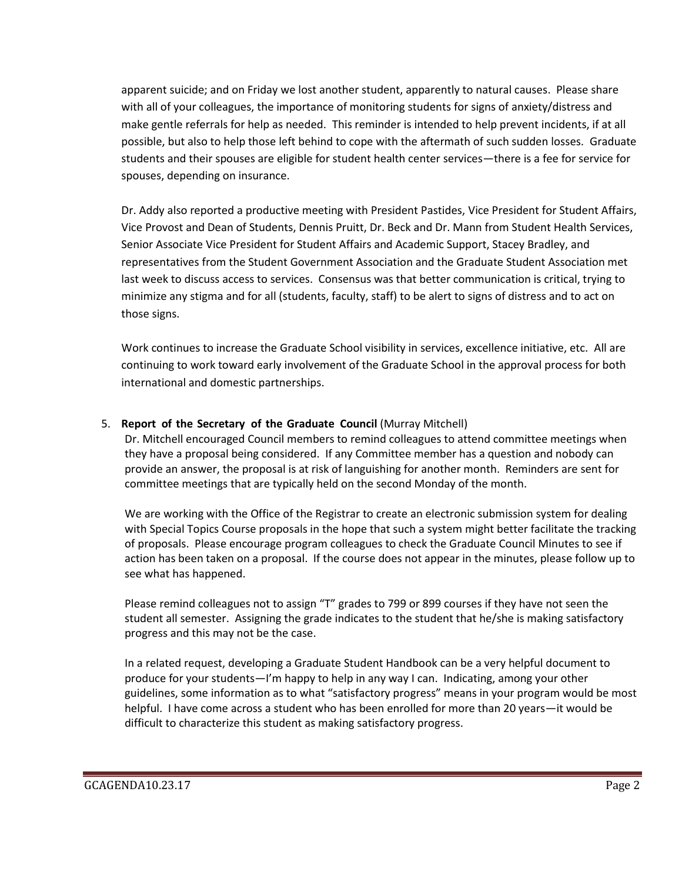apparent suicide; and on Friday we lost another student, apparently to natural causes. Please share with all of your colleagues, the importance of monitoring students for signs of anxiety/distress and make gentle referrals for help as needed. This reminder is intended to help prevent incidents, if at all possible, but also to help those left behind to cope with the aftermath of such sudden losses. Graduate students and their spouses are eligible for student health center services—there is a fee for service for spouses, depending on insurance.

Dr. Addy also reported a productive meeting with President Pastides, Vice President for Student Affairs, Vice Provost and Dean of Students, Dennis Pruitt, Dr. Beck and Dr. Mann from Student Health Services, Senior Associate Vice President for Student Affairs and Academic Support, Stacey Bradley, and representatives from the Student Government Association and the Graduate Student Association met last week to discuss access to services. Consensus was that better communication is critical, trying to minimize any stigma and for all (students, faculty, staff) to be alert to signs of distress and to act on those signs.

Work continues to increase the Graduate School visibility in services, excellence initiative, etc. All are continuing to work toward early involvement of the Graduate School in the approval process for both international and domestic partnerships.

## 5. **Report of the Secretary of the Graduate Council** (Murray Mitchell)

Dr. Mitchell encouraged Council members to remind colleagues to attend committee meetings when they have a proposal being considered. If any Committee member has a question and nobody can provide an answer, the proposal is at risk of languishing for another month. Reminders are sent for committee meetings that are typically held on the second Monday of the month.

We are working with the Office of the Registrar to create an electronic submission system for dealing with Special Topics Course proposals in the hope that such a system might better facilitate the tracking of proposals. Please encourage program colleagues to check the Graduate Council Minutes to see if action has been taken on a proposal. If the course does not appear in the minutes, please follow up to see what has happened.

Please remind colleagues not to assign "T" grades to 799 or 899 courses if they have not seen the student all semester. Assigning the grade indicates to the student that he/she is making satisfactory progress and this may not be the case.

In a related request, developing a Graduate Student Handbook can be a very helpful document to produce for your students—I'm happy to help in any way I can. Indicating, among your other guidelines, some information as to what "satisfactory progress" means in your program would be most helpful. I have come across a student who has been enrolled for more than 20 years—it would be difficult to characterize this student as making satisfactory progress.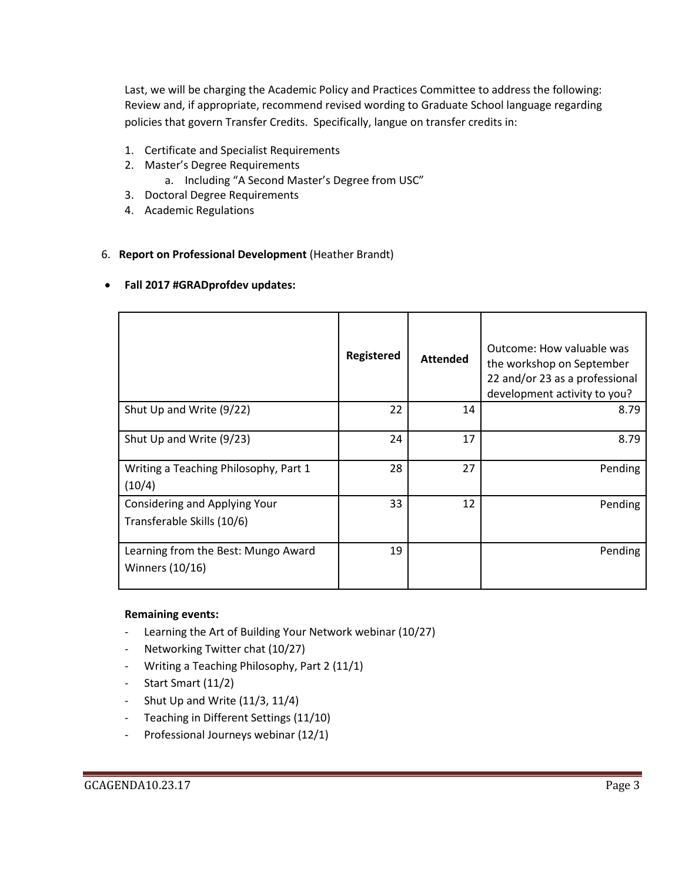Last, we will be charging the Academic Policy and Practices Committee to address the following: Review and, if appropriate, recommend revised wording to Graduate School language regarding policies that govern Transfer Credits. Specifically, langue on transfer credits in:

- 1. Certificate and Specialist Requirements
- 2. Master's Degree Requirements
	- a. Including "A Second Master's Degree from USC"
- 3. Doctoral Degree Requirements
- 4. Academic Regulations

#### 6. **Report on Professional Development** (Heather Brandt)

#### **Fall 2017 #GRADprofdev updates:**

|                                                             | <b>Registered</b> | <b>Attended</b> | Outcome: How valuable was<br>the workshop on September<br>22 and/or 23 as a professional<br>development activity to you? |
|-------------------------------------------------------------|-------------------|-----------------|--------------------------------------------------------------------------------------------------------------------------|
| Shut Up and Write (9/22)                                    | 22                | 14              | 8.79                                                                                                                     |
| Shut Up and Write (9/23)                                    | 24                | 17              | 8.79                                                                                                                     |
| Writing a Teaching Philosophy, Part 1<br>(10/4)             | 28                | 27              | Pending                                                                                                                  |
| Considering and Applying Your<br>Transferable Skills (10/6) | 33                | 12              | Pending                                                                                                                  |
| Learning from the Best: Mungo Award<br>Winners (10/16)      | 19                |                 | Pending                                                                                                                  |

#### **Remaining events:**

- Learning the Art of Building Your Network webinar (10/27)
- Networking Twitter chat (10/27)
- Writing a Teaching Philosophy, Part 2 (11/1)
- Start Smart (11/2)
- Shut Up and Write  $(11/3, 11/4)$
- Teaching in Different Settings (11/10)
- Professional Journeys webinar (12/1)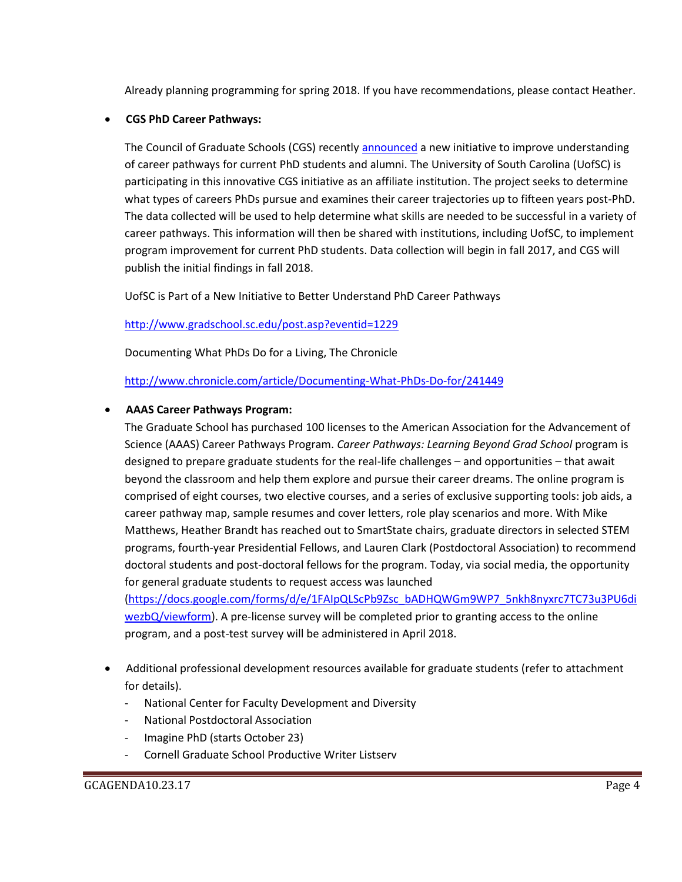Already planning programming for spring 2018. If you have recommendations, please contact Heather.

#### **CGS PhD Career Pathways:**

The Council of Graduate Schools (CGS) recently [announced](http://cgsnet.org/coalition-universities-selected-gather-data-about-phd-career-pathways) a new initiative to improve understanding of career pathways for current PhD students and alumni. The University of South Carolina (UofSC) is participating in this innovative CGS initiative as an affiliate institution. The project seeks to determine what types of careers PhDs pursue and examines their career trajectories up to fifteen years post-PhD. The data collected will be used to help determine what skills are needed to be successful in a variety of career pathways. This information will then be shared with institutions, including UofSC, to implement program improvement for current PhD students. Data collection will begin in fall 2017, and CGS will publish the initial findings in fall 2018.

UofSC is Part of a New Initiative to Better Understand PhD Career Pathways

<http://www.gradschool.sc.edu/post.asp?eventid=1229>

Documenting What PhDs Do for a Living, The Chronicle

#### <http://www.chronicle.com/article/Documenting-What-PhDs-Do-for/241449>

#### **AAAS Career Pathways Program:**

The Graduate School has purchased 100 licenses to the American Association for the Advancement of Science (AAAS) Career Pathways Program. *Career Pathways: Learning Beyond Grad School* program is designed to prepare graduate students for the real-life challenges – and opportunities – that await beyond the classroom and help them explore and pursue their career dreams. The online program is comprised of eight courses, two elective courses, and a series of exclusive supporting tools: job aids, a career pathway map, sample resumes and cover letters, role play scenarios and more. With Mike Matthews, Heather Brandt has reached out to SmartState chairs, graduate directors in selected STEM programs, fourth-year Presidential Fellows, and Lauren Clark (Postdoctoral Association) to recommend doctoral students and post-doctoral fellows for the program. Today, via social media, the opportunity for general graduate students to request access was launched

[\(https://docs.google.com/forms/d/e/1FAIpQLScPb9Zsc\\_bADHQWGm9WP7\\_5nkh8nyxrc7TC73u3PU6di](https://docs.google.com/forms/d/e/1FAIpQLScPb9Zsc_bADHQWGm9WP7_5nkh8nyxrc7TC73u3PU6diwezbQ/viewform) [wezbQ/viewform\)](https://docs.google.com/forms/d/e/1FAIpQLScPb9Zsc_bADHQWGm9WP7_5nkh8nyxrc7TC73u3PU6diwezbQ/viewform). A pre-license survey will be completed prior to granting access to the online program, and a post-test survey will be administered in April 2018.

- Additional professional development resources available for graduate students (refer to attachment for details).
	- National Center for Faculty Development and Diversity
	- National Postdoctoral Association
	- Imagine PhD (starts October 23)
	- Cornell Graduate School Productive Writer Listserv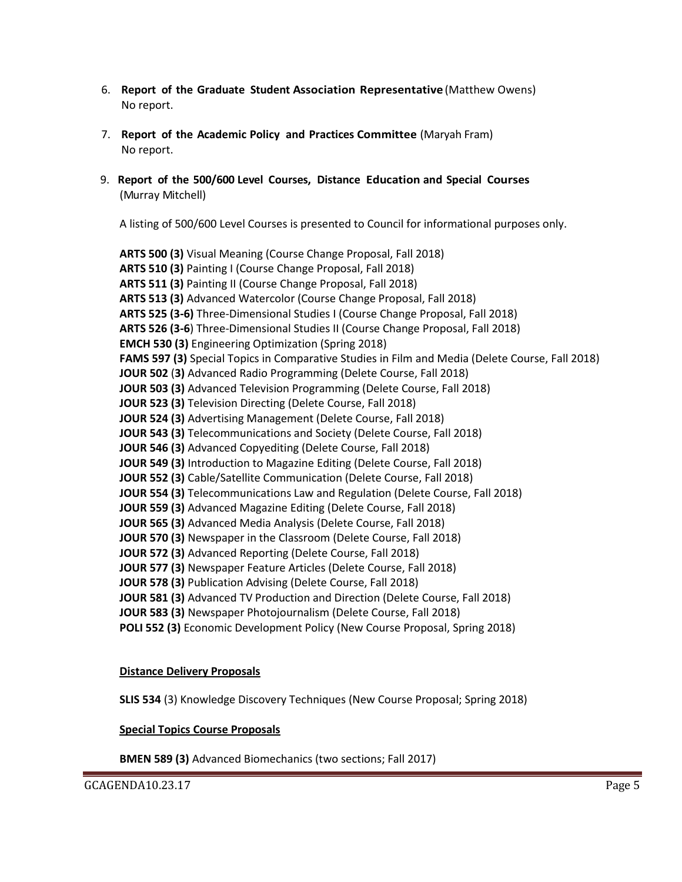- 6. **Report of the Graduate Student Association Representative** (Matthew Owens) No report.
- 7. **Report of the Academic Policy and Practices Committee** (Maryah Fram) No report.
- 9. **Report of the 500/600 Level Courses, Distance Education and Special Courses** (Murray Mitchell)

A listing of 500/600 Level Courses is presented to Council for informational purposes only.

**ARTS 500 (3)** Visual Meaning (Course Change Proposal, Fall 2018) **ARTS 510 (3)** Painting I (Course Change Proposal, Fall 2018) **ARTS 511 (3)** Painting II (Course Change Proposal, Fall 2018) **ARTS 513 (3)** Advanced Watercolor (Course Change Proposal, Fall 2018) **ARTS 525 (3-6)** Three-Dimensional Studies I (Course Change Proposal, Fall 2018) **ARTS 526 (3-6**) Three-Dimensional Studies II (Course Change Proposal, Fall 2018) **EMCH 530 (3)** Engineering Optimization (Spring 2018) **FAMS 597 (3)** Special Topics in Comparative Studies in Film and Media (Delete Course, Fall 2018) **JOUR 502** (**3)** Advanced Radio Programming (Delete Course, Fall 2018) **JOUR 503 (3)** Advanced Television Programming (Delete Course, Fall 2018) **JOUR 523 (3)** Television Directing (Delete Course, Fall 2018) **JOUR 524 (3)** Advertising Management (Delete Course, Fall 2018) **JOUR 543 (3)** Telecommunications and Society (Delete Course, Fall 2018) **JOUR 546 (3)** Advanced Copyediting (Delete Course, Fall 2018) **JOUR 549 (3)** Introduction to Magazine Editing (Delete Course, Fall 2018) **JOUR 552 (3)** Cable/Satellite Communication (Delete Course, Fall 2018) **JOUR 554 (3)** Telecommunications Law and Regulation (Delete Course, Fall 2018) **JOUR 559 (3)** Advanced Magazine Editing (Delete Course, Fall 2018) **JOUR 565 (3)** Advanced Media Analysis (Delete Course, Fall 2018) **JOUR 570 (3)** Newspaper in the Classroom (Delete Course, Fall 2018) **JOUR 572 (3)** Advanced Reporting (Delete Course, Fall 2018) **JOUR 577 (3)** Newspaper Feature Articles (Delete Course, Fall 2018) **JOUR 578 (3)** Publication Advising (Delete Course, Fall 2018) **JOUR 581 (3)** Advanced TV Production and Direction (Delete Course, Fall 2018) **JOUR 583 (3)** Newspaper Photojournalism (Delete Course, Fall 2018) **POLI 552 (3)** Economic Development Policy (New Course Proposal, Spring 2018)

#### **Distance Delivery Proposals**

**SLIS 534** (3) Knowledge Discovery Techniques (New Course Proposal; Spring 2018)

#### **Special Topics Course Proposals**

**BMEN 589 (3)** Advanced Biomechanics (two sections; Fall 2017)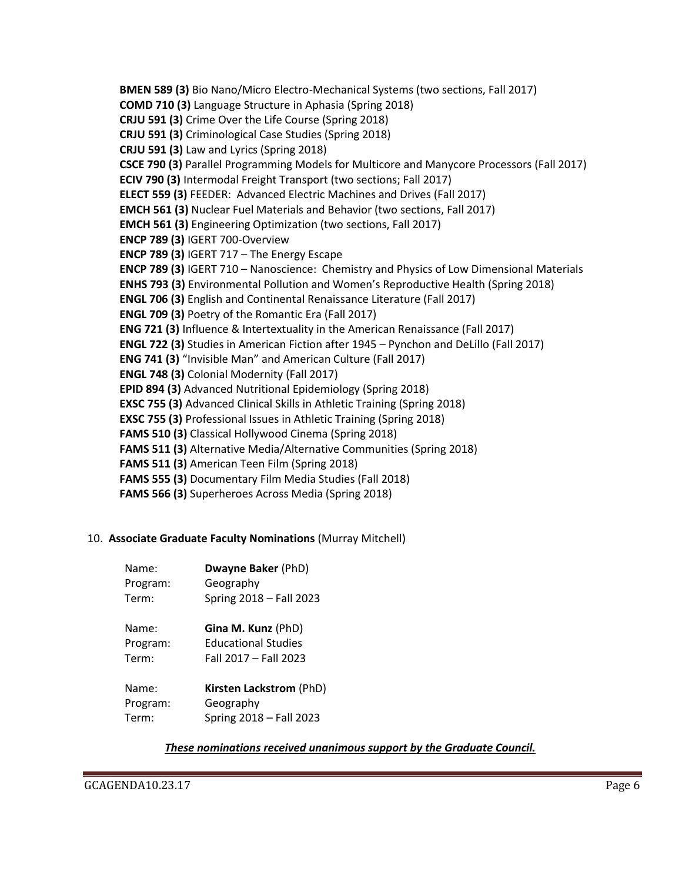**BMEN 589 (3)** Bio Nano/Micro Electro-Mechanical Systems (two sections, Fall 2017) **COMD 710 (3)** Language Structure in Aphasia (Spring 2018) **CRJU 591 (3)** Crime Over the Life Course (Spring 2018) **CRJU 591 (3)** Criminological Case Studies (Spring 2018) **CRJU 591 (3)** Law and Lyrics (Spring 2018) **CSCE 790 (3)** Parallel Programming Models for Multicore and Manycore Processors (Fall 2017) **ECIV 790 (3)** Intermodal Freight Transport (two sections; Fall 2017) **ELECT 559 (3)** FEEDER: Advanced Electric Machines and Drives (Fall 2017) **EMCH 561 (3)** Nuclear Fuel Materials and Behavior (two sections, Fall 2017) **EMCH 561 (3)** Engineering Optimization (two sections, Fall 2017) **ENCP 789 (3)** IGERT 700-Overview **ENCP 789 (3)** IGERT 717 – The Energy Escape **ENCP 789 (3)** IGERT 710 – Nanoscience: Chemistry and Physics of Low Dimensional Materials **ENHS 793 (3)** Environmental Pollution and Women's Reproductive Health (Spring 2018) **ENGL 706 (3)** English and Continental Renaissance Literature (Fall 2017) **ENGL 709 (3)** Poetry of the Romantic Era (Fall 2017) **ENG 721 (3)** Influence & Intertextuality in the American Renaissance (Fall 2017) **ENGL 722 (3)** Studies in American Fiction after 1945 – Pynchon and DeLillo (Fall 2017) **ENG 741 (3)** "Invisible Man" and American Culture (Fall 2017) **ENGL 748 (3)** Colonial Modernity (Fall 2017) **EPID 894 (3)** Advanced Nutritional Epidemiology (Spring 2018) **EXSC 755 (3)** Advanced Clinical Skills in Athletic Training (Spring 2018) **EXSC 755 (3)** Professional Issues in Athletic Training (Spring 2018) **FAMS 510 (3)** Classical Hollywood Cinema (Spring 2018) **FAMS 511 (3)** Alternative Media/Alternative Communities (Spring 2018) **FAMS 511 (3)** American Teen Film (Spring 2018) **FAMS 555 (3)** Documentary Film Media Studies (Fall 2018) **FAMS 566 (3)** Superheroes Across Media (Spring 2018)

## 10. **Associate Graduate Faculty Nominations** (Murray Mitchell)

| Name:    | Dwayne Baker (PhD)         |
|----------|----------------------------|
| Program: | Geography                  |
| Term:    | Spring 2018 - Fall 2023    |
| Name:    | Gina M. Kunz (PhD)         |
| Program: | <b>Educational Studies</b> |
| Term:    | Fall 2017 - Fall 2023      |
| Name:    | Kirsten Lackstrom (PhD)    |
| Program: | Geography                  |
| Term:    | Spring 2018 - Fall 2023    |

## *These nominations received unanimous support by the Graduate Council.*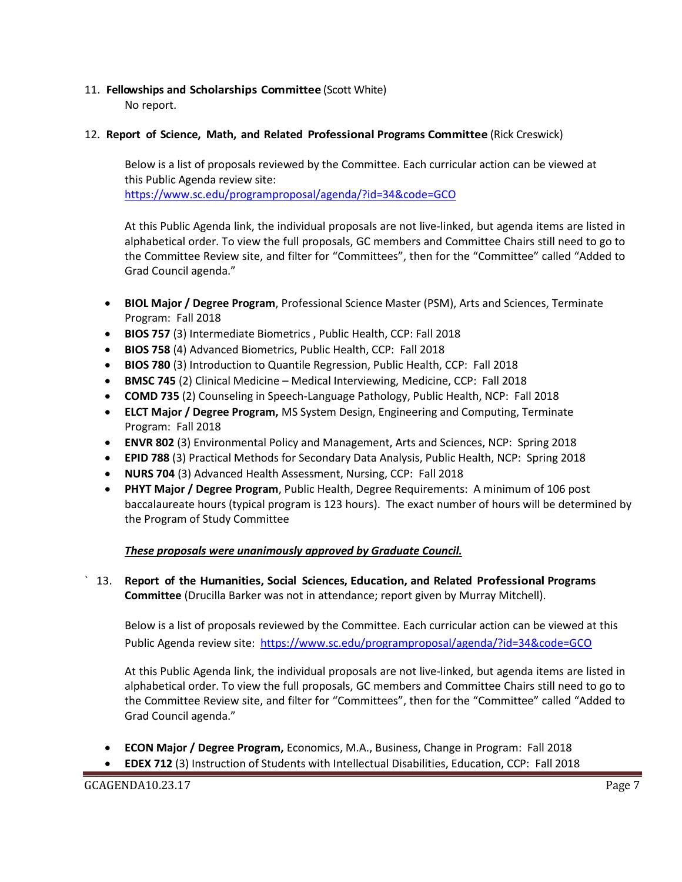## 11. **Fellowships and Scholarships Committee** (Scott White)

No report.

## 12. **Report of Science, Math, and Related Professional Programs Committee** (Rick Creswick)

Below is a list of proposals reviewed by the Committee. Each curricular action can be viewed at this Public Agenda review site: <https://www.sc.edu/programproposal/agenda/?id=34&code=GCO>

At this Public Agenda link, the individual proposals are not live-linked, but agenda items are listed in alphabetical order. To view the full proposals, GC members and Committee Chairs still need to go to the Committee Review site, and filter for "Committees", then for the "Committee" called "Added to Grad Council agenda."

- **BIOL Major / Degree Program**, Professional Science Master (PSM), Arts and Sciences, Terminate Program: Fall 2018
- **BIOS 757** (3) Intermediate Biometrics , Public Health, CCP: Fall 2018
- **BIOS 758** (4) Advanced Biometrics, Public Health, CCP: Fall 2018
- **BIOS 780** (3) Introduction to Quantile Regression, Public Health, CCP: Fall 2018
- **BMSC 745** (2) Clinical Medicine Medical Interviewing, Medicine, CCP: Fall 2018
- **COMD 735** (2) Counseling in Speech-Language Pathology, Public Health, NCP: Fall 2018
- **ELCT Major / Degree Program,** MS System Design, Engineering and Computing, Terminate Program: Fall 2018
- **ENVR 802** (3) Environmental Policy and Management, Arts and Sciences, NCP: Spring 2018
- **EPID 788** (3) Practical Methods for Secondary Data Analysis, Public Health, NCP: Spring 2018
- **NURS 704** (3) Advanced Health Assessment, Nursing, CCP: Fall 2018
- **PHYT Major / Degree Program**, Public Health, Degree Requirements: A minimum of 106 post baccalaureate hours (typical program is 123 hours). The exact number of hours will be determined by the Program of Study Committee

## *These proposals were unanimously approved by Graduate Council.*

` 13. **Report of the Humanities, Social Sciences, Education, and Related Professional Programs Committee** (Drucilla Barker was not in attendance; report given by Murray Mitchell).

Below is a list of proposals reviewed by the Committee. Each curricular action can be viewed at this Public Agenda review site: <https://www.sc.edu/programproposal/agenda/?id=34&code=GCO>

At this Public Agenda link, the individual proposals are not live-linked, but agenda items are listed in alphabetical order. To view the full proposals, GC members and Committee Chairs still need to go to the Committee Review site, and filter for "Committees", then for the "Committee" called "Added to Grad Council agenda."

- **ECON Major / Degree Program,** Economics, M.A., Business, Change in Program: Fall 2018
- **EDEX 712** (3) Instruction of Students with Intellectual Disabilities, Education, CCP: Fall 2018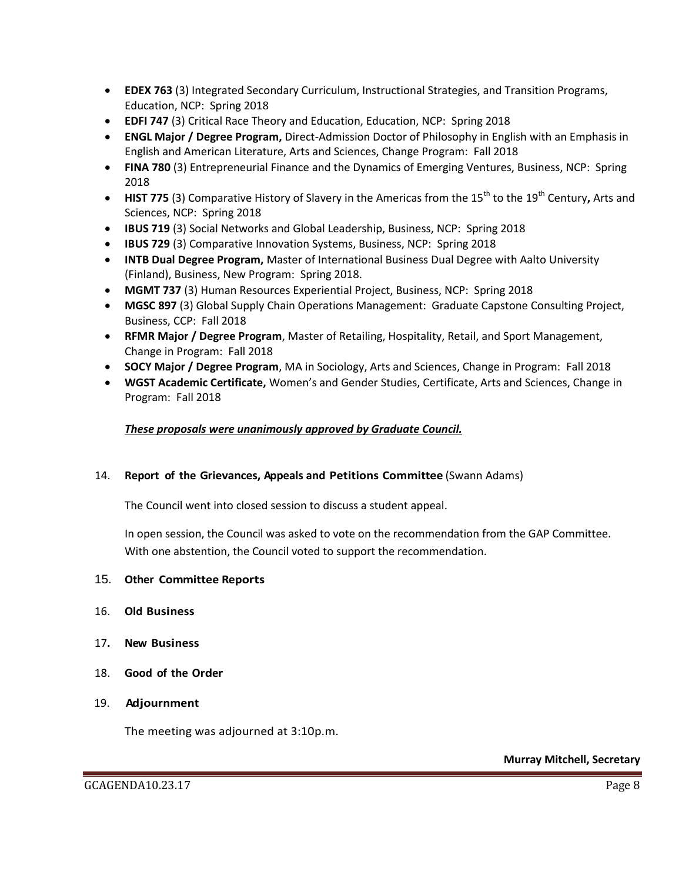- **EDEX 763** (3) Integrated Secondary Curriculum, Instructional Strategies, and Transition Programs, Education, NCP: Spring 2018
- **EDFI 747** (3) Critical Race Theory and Education, Education, NCP: Spring 2018
- **ENGL Major / Degree Program,** Direct-Admission Doctor of Philosophy in English with an Emphasis in English and American Literature, Arts and Sciences, Change Program: Fall 2018
- **FINA 780** (3) Entrepreneurial Finance and the Dynamics of Emerging Ventures, Business, NCP: Spring 2018
- HIST 775 (3) Comparative History of Slavery in the Americas from the 15<sup>th</sup> to the 19<sup>th</sup> Century, Arts and Sciences, NCP: Spring 2018
- **IBUS 719** (3) Social Networks and Global Leadership, Business, NCP: Spring 2018
- **IBUS 729** (3) Comparative Innovation Systems, Business, NCP: Spring 2018
- **INTB Dual Degree Program,** Master of International Business Dual Degree with Aalto University (Finland), Business, New Program: Spring 2018.
- **MGMT 737** (3) Human Resources Experiential Project, Business, NCP: Spring 2018
- **MGSC 897** (3) Global Supply Chain Operations Management: Graduate Capstone Consulting Project, Business, CCP: Fall 2018
- **RFMR Major / Degree Program**, Master of Retailing, Hospitality, Retail, and Sport Management, Change in Program: Fall 2018
- **SOCY Major / Degree Program**, MA in Sociology, Arts and Sciences, Change in Program: Fall 2018
- **WGST Academic Certificate,** Women's and Gender Studies, Certificate, Arts and Sciences, Change in Program: Fall 2018

#### *These proposals were unanimously approved by Graduate Council.*

#### 14. **Report of the Grievances, Appeals and Petitions Committee** (Swann Adams)

The Council went into closed session to discuss a student appeal.

In open session, the Council was asked to vote on the recommendation from the GAP Committee. With one abstention, the Council voted to support the recommendation.

#### 15. **Other Committee Reports**

- 16. **Old Business**
- 17**. New Business**
- 18. **Good of the Order**
- 19. **Adjournment**

The meeting was adjourned at 3:10p.m.

**Murray Mitchell, Secretary**

GCAGENDA10.23.17 Page 8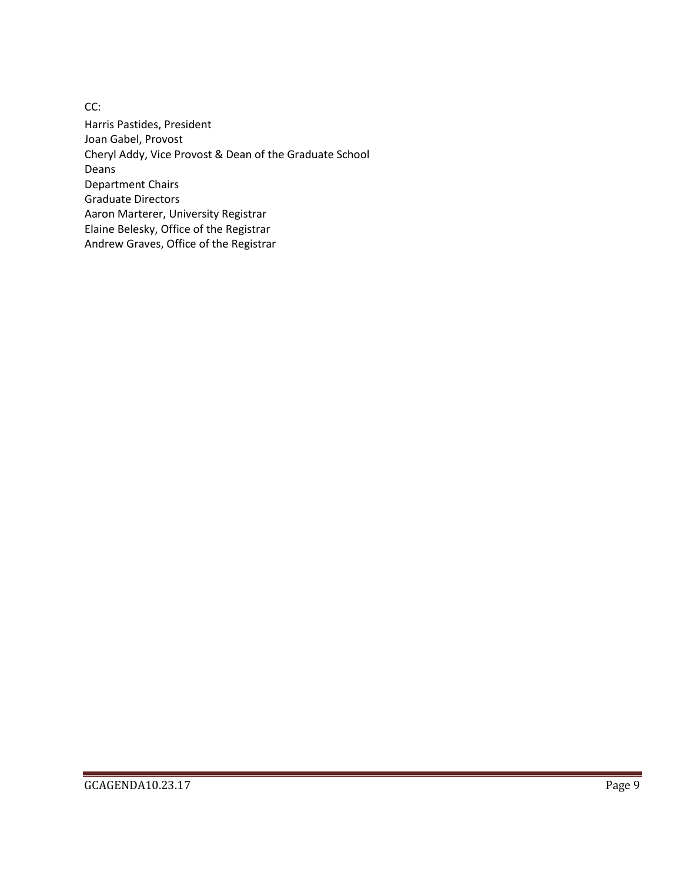CC: Harris Pastides, President Joan Gabel, Provost Cheryl Addy, Vice Provost & Dean of the Graduate School Deans Department Chairs Graduate Directors Aaron Marterer, University Registrar Elaine Belesky, Office of the Registrar Andrew Graves, Office of the Registrar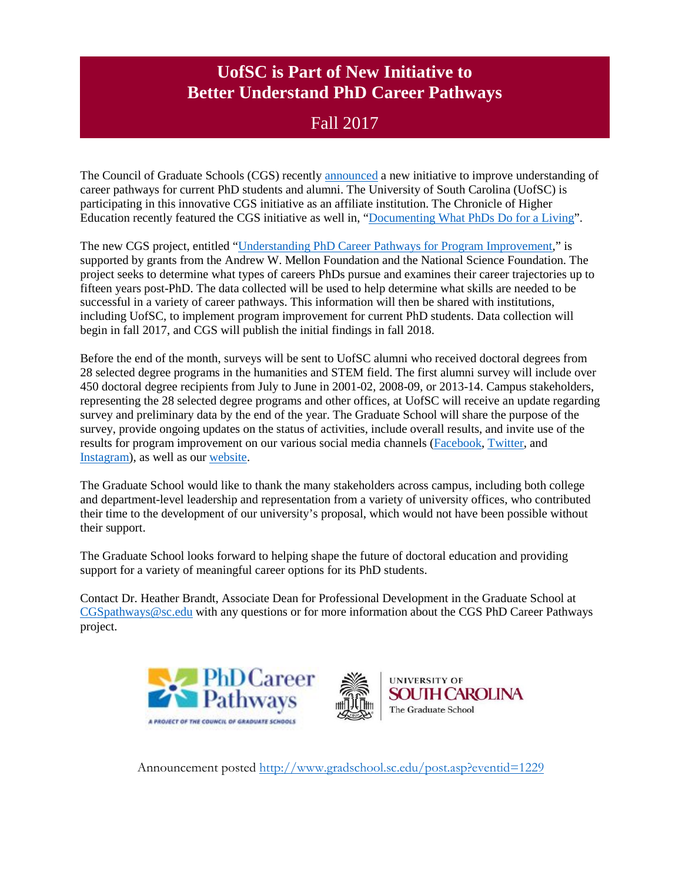# **UofSC is Part of New Initiative to Better Understand PhD Career Pathways**

## Fall 2017

The Council of Graduate Schools (CGS) recentl[y announced](http://cgsnet.org/coalition-universities-selected-gather-data-about-phd-career-pathways) a new initiative to improve understanding of career pathways for current PhD students and alumni. The University of South Carolina (UofSC) is participating in this innovative CGS initiative as an affiliate institution. The Chronicle of Higher Education recently featured the CGS initiative as well in, ["Documenting What PhDs Do for a Living"](http://www.chronicle.com/article/Documenting-What-PhDs-Do-for/241449).

The new CGS project, entitled ["Understanding PhD Career Pathways for Program Improvement,](http://cgsnet.org/understanding-career-pathways)" is supported by grants from the Andrew W. Mellon Foundation and the National Science Foundation. The project seeks to determine what types of careers PhDs pursue and examines their career trajectories up to fifteen years post-PhD. The data collected will be used to help determine what skills are needed to be successful in a variety of career pathways. This information will then be shared with institutions, including UofSC, to implement program improvement for current PhD students. Data collection will begin in fall 2017, and CGS will publish the initial findings in fall 2018.

Before the end of the month, surveys will be sent to UofSC alumni who received doctoral degrees from 28 selected degree programs in the humanities and STEM field. The first alumni survey will include over 450 doctoral degree recipients from July to June in 2001-02, 2008-09, or 2013-14. Campus stakeholders, representing the 28 selected degree programs and other offices, at UofSC will receive an update regarding survey and preliminary data by the end of the year. The Graduate School will share the purpose of the survey, provide ongoing updates on the status of activities, include overall results, and invite use of the results for program improvement on our various social media channels [\(Facebook,](https://www.facebook.com/GradSchoolAtUSC) [Twitter,](https://twitter.com/GradSchoolatUSC) and [Instagram\)](https://www.instagram.com/gradschoolatusc/), as well as our [website.](http://gradschool.sc.edu/)

The Graduate School would like to thank the many stakeholders across campus, including both college and department-level leadership and representation from a variety of university offices, who contributed their time to the development of our university's proposal, which would not have been possible without their support.

The Graduate School looks forward to helping shape the future of doctoral education and providing support for a variety of meaningful career options for its PhD students.

Contact Dr. Heather Brandt, Associate Dean for Professional Development in the Graduate School at [CGSpathways@sc.edu](mailto:CGSpathways@sc.edu) with any questions or for more information about the CGS PhD Career Pathways project.





**UNIVERSITY OF SOUTH CAROLINA** The Graduate School

Announcement posted<http://www.gradschool.sc.edu/post.asp?eventid=1229>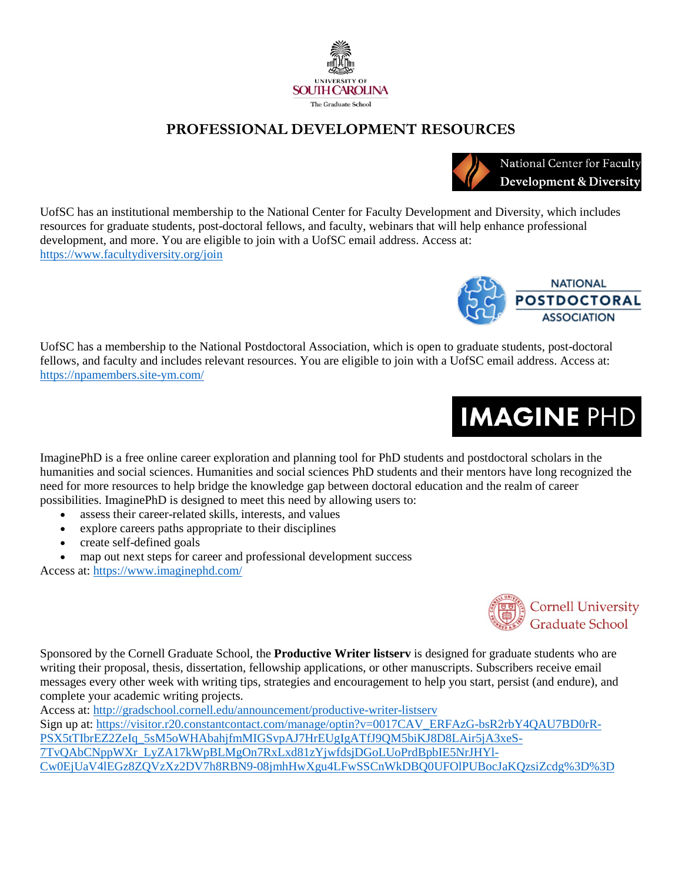



UofSC has a membership to the National Postdoctoral Association, which is open to graduate students, post-doctoral fellows, and faculty and includes relevant resources. You are eligible to join with a UofSC email address. Access at: <https://npamembers.site-ym.com/>

ImaginePhD is a free online career exploration and planning tool for PhD students and postdoctoral scholars in the humanities and social sciences. Humanities and social sciences PhD students and their mentors have long recognized the need for more resources to help bridge the knowledge gap between doctoral education and the realm of career possibilities. ImaginePhD is designed to meet this need by allowing users to:

- assess their career-related skills, interests, and values
- explore careers paths appropriate to their disciplines
- create self-defined goals
- map out next steps for career and professional development success

Access at:<https://www.imaginephd.com/>

Sponsored by the Cornell Graduate School, the **Productive Writer listserv** is designed for graduate students who are writing their proposal, thesis, dissertation, fellowship applications, or other manuscripts. Subscribers receive email messages every other week with writing tips, strategies and encouragement to help you start, persist (and endure), and complete your academic writing projects.

Access at:<http://gradschool.cornell.edu/announcement/productive-writer-listserv> Sign up at: [https://visitor.r20.constantcontact.com/manage/optin?v=0017CAV\\_ERFAzG-bsR2rbY4QAU7BD0rR-](https://visitor.r20.constantcontact.com/manage/optin?v=0017CAV_ERFAzG-bsR2rbY4QAU7BD0rR-PSX5tTIbrEZ2ZeIq_5sM5oWHAbahjfmMIGSvpAJ7HrEUgIgATfJ9QM5biKJ8D8LAir5jA3xeS-7TvQAbCNppWXr_LyZA17kWpBLMgOn7RxLxd81zYjwfdsjDGoLUoPrdBpbIE5NrJHYl-Cw0EjUaV4lEGz8ZQVzXz2DV7h8RBN9-08jmhHwXgu4LFwSSCnWkDBQ0UFOlPUBocJaKQzsiZcdg%3D%3D)[PSX5tTIbrEZ2ZeIq\\_5sM5oWHAbahjfmMIGSvpAJ7HrEUgIgATfJ9QM5biKJ8D8LAir5jA3xeS-](https://visitor.r20.constantcontact.com/manage/optin?v=0017CAV_ERFAzG-bsR2rbY4QAU7BD0rR-PSX5tTIbrEZ2ZeIq_5sM5oWHAbahjfmMIGSvpAJ7HrEUgIgATfJ9QM5biKJ8D8LAir5jA3xeS-7TvQAbCNppWXr_LyZA17kWpBLMgOn7RxLxd81zYjwfdsjDGoLUoPrdBpbIE5NrJHYl-Cw0EjUaV4lEGz8ZQVzXz2DV7h8RBN9-08jmhHwXgu4LFwSSCnWkDBQ0UFOlPUBocJaKQzsiZcdg%3D%3D)[7TvQAbCNppWXr\\_LyZA17kWpBLMgOn7RxLxd81zYjwfdsjDGoLUoPrdBpbIE5NrJHYl-](https://visitor.r20.constantcontact.com/manage/optin?v=0017CAV_ERFAzG-bsR2rbY4QAU7BD0rR-PSX5tTIbrEZ2ZeIq_5sM5oWHAbahjfmMIGSvpAJ7HrEUgIgATfJ9QM5biKJ8D8LAir5jA3xeS-7TvQAbCNppWXr_LyZA17kWpBLMgOn7RxLxd81zYjwfdsjDGoLUoPrdBpbIE5NrJHYl-Cw0EjUaV4lEGz8ZQVzXz2DV7h8RBN9-08jmhHwXgu4LFwSSCnWkDBQ0UFOlPUBocJaKQzsiZcdg%3D%3D)[Cw0EjUaV4lEGz8ZQVzXz2DV7h8RBN9-08jmhHwXgu4LFwSSCnWkDBQ0UFOlPUBocJaKQzsiZcdg%3D%3D](https://visitor.r20.constantcontact.com/manage/optin?v=0017CAV_ERFAzG-bsR2rbY4QAU7BD0rR-PSX5tTIbrEZ2ZeIq_5sM5oWHAbahjfmMIGSvpAJ7HrEUgIgATfJ9QM5biKJ8D8LAir5jA3xeS-7TvQAbCNppWXr_LyZA17kWpBLMgOn7RxLxd81zYjwfdsjDGoLUoPrdBpbIE5NrJHYl-Cw0EjUaV4lEGz8ZQVzXz2DV7h8RBN9-08jmhHwXgu4LFwSSCnWkDBQ0UFOlPUBocJaKQzsiZcdg%3D%3D)





**IMAGINE PHD** 



National Center for Faculty **Development & Diversity**